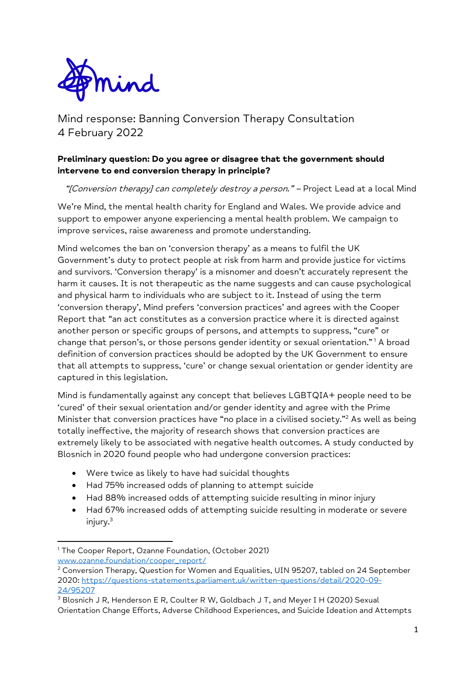

Mind response: Banning Conversion Therapy Consultation 4 February 2022

## **Preliminary question: Do you agree or disagree that the government should intervene to end conversion therapy in principle?**

"[Conversion therapy] can completely destroy a person." - Project Lead at a local Mind

We're Mind, the mental health charity for England and Wales. We provide advice and support to empower anyone experiencing a mental health problem. We campaign to improve services, raise awareness and promote understanding.

Mind welcomes the ban on 'conversion therapy' as a means to fulfil the UK Government's duty to protect people at risk from harm and provide justice for victims and survivors. 'Conversion therapy' is a misnomer and doesn't accurately represent the harm it causes. It is not therapeutic as the name suggests and can cause psychological and physical harm to individuals who are subject to it. Instead of using the term 'conversion therapy', Mind prefers 'conversion practices' and agrees with the Cooper Report that "an act constitutes as a conversion practice where it is directed against another person or specific groups of persons, and attempts to suppress, "cure" or change that person's, or those persons gender identity or sexual orientation." <sup>1</sup> A broad definition of conversion practices should be adopted by the UK Government to ensure that all attempts to suppress, 'cure' or change sexual orientation or gender identity are captured in this legislation.

Mind is fundamentally against any concept that believes LGBTQIA+ people need to be 'cured' of their sexual orientation and/or gender identity and agree with the Prime Minister that conversion practices have "no place in a civilised society."<sup>2</sup> As well as being totally ineffective, the majority of research shows that conversion practices are extremely likely to be associated with negative health outcomes. A study conducted by Blosnich in 2020 found people who had undergone conversion practices:

- Were twice as likely to have had suicidal thoughts
- Had 75% increased odds of planning to attempt suicide
- Had 88% increased odds of attempting suicide resulting in minor injury
- Had 67% increased odds of attempting suicide resulting in moderate or severe injury. 3

<sup>1</sup> The Cooper Report, Ozanne Foundation, (October 2021) [www.ozanne.foundation/cooper\\_report/](https://www.ozanne.foundation/cooper_report/)

<sup>2</sup> Conversion Therapy, Question for Women and Equalities, UIN 95207, tabled on 24 September 2020: [https://questions-statements.parliament.uk/written-questions/detail/2020-09-](https://questions-statements.parliament.uk/written-questions/detail/2020-09-24/95207) [24/95207](https://questions-statements.parliament.uk/written-questions/detail/2020-09-24/95207)

<sup>&</sup>lt;sup>3</sup> Blosnich J R, Henderson E R, Coulter R W, Goldbach J T, and Meyer I H (2020) Sexual Orientation Change Efforts, Adverse Childhood Experiences, and Suicide Ideation and Attempts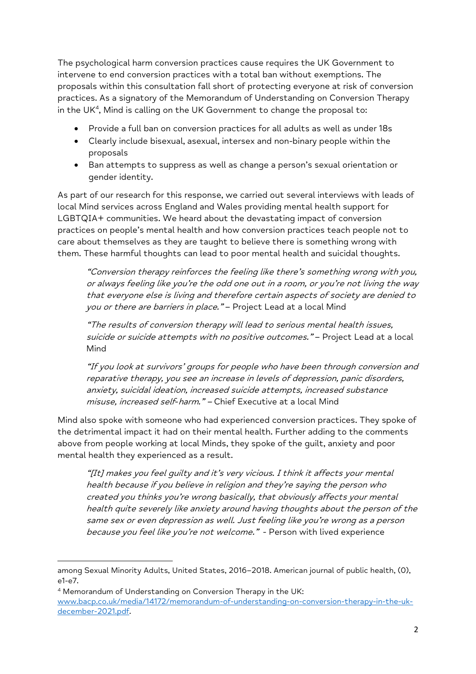The psychological harm conversion practices cause requires the UK Government to intervene to end conversion practices with a total ban without exemptions. The proposals within this consultation fall short of protecting everyone at risk of conversion practices. As a signatory of the Memorandum of Understanding on Conversion Therapy in the UK<sup>4</sup> , Mind is calling on the UK Government to change the proposal to:

- Provide a full ban on conversion practices for all adults as well as under 18s
- Clearly include bisexual, asexual, intersex and non-binary people within the proposals
- Ban attempts to suppress as well as change a person's sexual orientation or gender identity.

As part of our research for this response, we carried out several interviews with leads of local Mind services across England and Wales providing mental health support for LGBTQIA+ communities. We heard about the devastating impact of conversion practices on people's mental health and how conversion practices teach people not to care about themselves as they are taught to believe there is something wrong with them. These harmful thoughts can lead to poor mental health and suicidal thoughts.

"Conversion therapy reinforces the feeling like there's something wrong with you, or always feeling like you're the odd one out in a room, or you're not living the way that everyone else is living and therefore certain aspects of society are denied to you or there are barriers in place." - Project Lead at a local Mind

"The results of conversion therapy will lead to serious mental health issues, suicide or suicide attempts with no positive outcomes." - Project Lead at a local Mind

"If you look at survivors' groups for people who have been through conversion and reparative therapy, you see an increase in levels of depression, panic disorders, anxiety, suicidal ideation, increased suicide attempts, increased substance misuse, increased self-harm." - Chief Executive at a local Mind

Mind also spoke with someone who had experienced conversion practices. They spoke of the detrimental impact it had on their mental health. Further adding to the comments above from people working at local Minds, they spoke of the guilt, anxiety and poor mental health they experienced as a result.

"[It] makes you feel guilty and it's very vicious. I think it affects your mental health because if you believe in religion and they're saying the person who created you thinks you're wrong basically, that obviously affects your mental health quite severely like anxiety around having thoughts about the person of the same sex or even depression as well. Just feeling like you're wrong as a person because you feel like you're not welcome." - Person with lived experience

among Sexual Minority Adults, United States, 2016–2018. American journal of public health, (0), e1-e7.

<sup>&</sup>lt;sup>4</sup> Memorandum of Understanding on Conversion Therapy in the UK: [www.bacp.co.uk/media/14172/memorandum-of-understanding-on-conversion-therapy-in-the-uk](http://www.bacp.co.uk/media/14172/memorandum-of-understanding-on-conversion-therapy-in-the-uk-december-2021.pdf)[december-2021.pdf.](http://www.bacp.co.uk/media/14172/memorandum-of-understanding-on-conversion-therapy-in-the-uk-december-2021.pdf)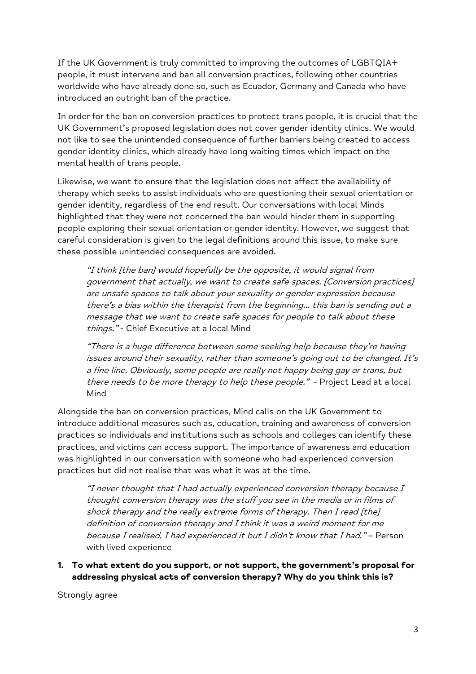If the UK Government is truly committed to improving the outcomes of LGBTQIA+ people, it must intervene and ban all conversion practices, following other countries worldwide who have already done so, such as Ecuador, Germany and Canada who have introduced an outright ban of the practice.

In order for the ban on conversion practices to protect trans people, it is crucial that the UK Government's proposed legislation does not cover gender identity clinics. We would not like to see the unintended consequence of further barriers being created to access gender identity clinics, which already have long waiting times which impact on the mental health of trans people.

Likewise, we want to ensure that the legislation does not affect the availability of therapy which seeks to assist individuals who are questioning their sexual orientation or gender identity, regardless of the end result. Our conversations with local Minds highlighted that they were not concerned the ban would hinder them in supporting people exploring their sexual orientation or gender identity. However, we suggest that careful consideration is given to the legal definitions around this issue, to make sure these possible unintended consequences are avoided.

"I think [the ban] would hopefully be the opposite, it would signal from government that actually, we want to create safe spaces. [Conversion practices] are unsafe spaces to talk about your sexuality or gender expression because there's a bias within the therapist from the beginning… this ban is sending out a message that we want to create safe spaces for people to talk about these things." - Chief Executive at a local Mind

"There is a huge difference between some seeking help because they're having issues around their sexuality, rather than someone's going out to be changed. It's a fine line. Obviously, some people are really not happy being gay or trans, but there needs to be more therapy to help these people." - Project Lead at a local Mind

Alongside the ban on conversion practices, Mind calls on the UK Government to introduce additional measures such as, education, training and awareness of conversion practices so individuals and institutions such as schools and colleges can identify these practices, and victims can access support. The importance of awareness and education was highlighted in our conversation with someone who had experienced conversion practices but did not realise that was what it was at the time.

"I never thought that I had actually experienced conversion therapy because I thought conversion therapy was the stuff you see in the media or in films of shock therapy and the really extreme forms of therapy. Then I read [the] definition of conversion therapy and I think it was a weird moment for me because I realised, I had experienced it but I didn't know that I had." – Person with lived experience

### **1. To what extent do you support, or not support, the government's proposal for addressing physical acts of conversion therapy? Why do you think this is?**

Strongly agree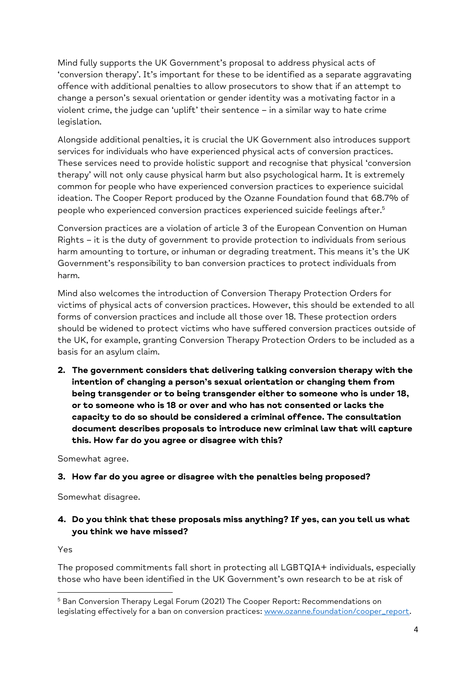Mind fully supports the UK Government's proposal to address physical acts of 'conversion therapy'. It's important for these to be identified as a separate aggravating offence with additional penalties to allow prosecutors to show that if an attempt to change a person's sexual orientation or gender identity was a motivating factor in a violent crime, the judge can 'uplift' their sentence – in a similar way to hate crime legislation.

Alongside additional penalties, it is crucial the UK Government also introduces support services for individuals who have experienced physical acts of conversion practices. These services need to provide holistic support and recognise that physical 'conversion therapy' will not only cause physical harm but also psychological harm. It is extremely common for people who have experienced conversion practices to experience suicidal ideation. The Cooper Report produced by the Ozanne Foundation found that 68.7% of people who experienced conversion practices experienced suicide feelings after. 5

Conversion practices are a violation of article 3 of the European Convention on Human Rights – it is the duty of government to provide protection to individuals from serious harm amounting to torture, or inhuman or degrading treatment. This means it's the UK Government's responsibility to ban conversion practices to protect individuals from harm.

Mind also welcomes the introduction of Conversion Therapy Protection Orders for victims of physical acts of conversion practices. However, this should be extended to all forms of conversion practices and include all those over 18. These protection orders should be widened to protect victims who have suffered conversion practices outside of the UK, for example, granting Conversion Therapy Protection Orders to be included as a basis for an asylum claim.

**2. The government considers that delivering talking conversion therapy with the intention of changing a person's sexual orientation or changing them from being transgender or to being transgender either to someone who is under 18, or to someone who is 18 or over and who has not consented or lacks the capacity to do so should be considered a criminal offence. The consultation document describes proposals to introduce new criminal law that will capture this. How far do you agree or disagree with this?**

Somewhat agree.

## **3. How far do you agree or disagree with the penalties being proposed?**

Somewhat disagree.

# **4. Do you think that these proposals miss anything? If yes, can you tell us what you think we have missed?**

Yes

The proposed commitments fall short in protecting all LGBTQIA+ individuals, especially those who have been identified in the UK Government's own research to be at risk of

<sup>5</sup> Ban Conversion Therapy Legal Forum (2021) The Cooper Report: Recommendations on legislating effectively for a ban on conversion practices: [www.ozanne.foundation/cooper\\_report.](http://www.ozanne.foundation/cooper_report)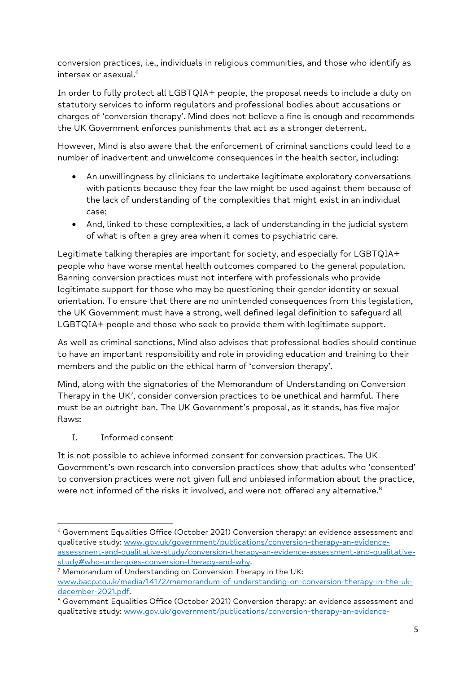conversion practices, i.e., individuals in religious communities, and those who identify as intersex or asexual.<sup>6</sup>

In order to fully protect all LGBTQIA+ people, the proposal needs to include a duty on statutory services to inform regulators and professional bodies about accusations or charges of 'conversion therapy'. Mind does not believe a fine is enough and recommends the UK Government enforces punishments that act as a stronger deterrent.

However, Mind is also aware that the enforcement of criminal sanctions could lead to a number of inadvertent and unwelcome consequences in the health sector, including:

- An unwillingness by clinicians to undertake legitimate exploratory conversations with patients because they fear the law might be used against them because of the lack of understanding of the complexities that might exist in an individual case;
- And, linked to these complexities, a lack of understanding in the judicial system of what is often a grey area when it comes to psychiatric care.

Legitimate talking therapies are important for society, and especially for LGBTQIA+ people who have worse mental health outcomes compared to the general population. Banning conversion practices must not interfere with professionals who provide legitimate support for those who may be questioning their gender identity or sexual orientation. To ensure that there are no unintended consequences from this legislation, the UK Government must have a strong, well defined legal definition to safeguard all LGBTQIA+ people and those who seek to provide them with legitimate support.

As well as criminal sanctions, Mind also advises that professional bodies should continue to have an important responsibility and role in providing education and training to their members and the public on the ethical harm of 'conversion therapy'.

Mind, along with the signatories of the Memorandum of Understanding on Conversion Therapy in the UK<sup>7</sup>, consider conversion practices to be unethical and harmful. There must be an outright ban. The UK Government's proposal, as it stands, has five major flaws:

I. Informed consent

It is not possible to achieve informed consent for conversion practices. The UK Government's own research into conversion practices show that adults who 'consented' to conversion practices were not given full and unbiased information about the practice, were not informed of the risks it involved, and were not offered any alternative.<sup>8</sup>

 $6$  Government Equalities Office (October 2021) Conversion therapy: an evidence assessment and qualitative study: [www.gov.uk/government/publications/conversion-therapy-an-evidence](http://www.gov.uk/government/publications/conversion-therapy-an-evidence-assessment-and-qualitative-study/conversion-therapy-an-evidence-assessment-and-qualitative-study#who-undergoes-conversion-therapy-and-why)[assessment-and-qualitative-study/conversion-therapy-an-evidence-assessment-and-qualitative](http://www.gov.uk/government/publications/conversion-therapy-an-evidence-assessment-and-qualitative-study/conversion-therapy-an-evidence-assessment-and-qualitative-study#who-undergoes-conversion-therapy-and-why)[study#who-undergoes-conversion-therapy-and-why.](http://www.gov.uk/government/publications/conversion-therapy-an-evidence-assessment-and-qualitative-study/conversion-therapy-an-evidence-assessment-and-qualitative-study#who-undergoes-conversion-therapy-and-why)

<sup>7</sup> Memorandum of Understanding on Conversion Therapy in the UK: [www.bacp.co.uk/media/14172/memorandum-of-understanding-on-conversion-therapy-in-the-uk](http://www.bacp.co.uk/media/14172/memorandum-of-understanding-on-conversion-therapy-in-the-uk-december-2021.pdf)[december-2021.pdf.](http://www.bacp.co.uk/media/14172/memorandum-of-understanding-on-conversion-therapy-in-the-uk-december-2021.pdf)

<sup>&</sup>lt;sup>8</sup> Government Equalities Office (October 2021) Conversion therapy: an evidence assessment and qualitative study: [www.gov.uk/government/publications/conversion-therapy-an-evidence-](http://www.gov.uk/government/publications/conversion-therapy-an-evidence-assessment-and-qualitative-study/conversion-therapy-an-evidence-assessment-and-qualitative-study#who-undergoes-conversion-therapy-and-why)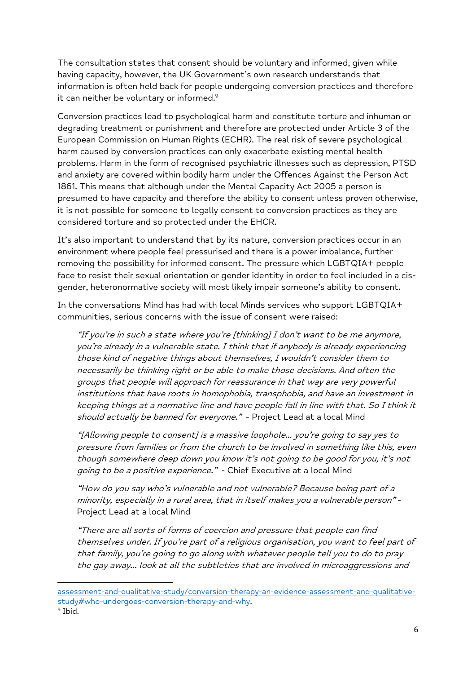The consultation states that consent should be voluntary and informed, given while having capacity, however, the UK Government's own research understands that information is often held back for people undergoing conversion practices and therefore it can neither be voluntary or informed.<sup>9</sup>

Conversion practices lead to psychological harm and constitute torture and inhuman or degrading treatment or punishment and therefore are protected under Article 3 of the European Commission on Human Rights (ECHR). The real risk of severe psychological harm caused by conversion practices can only exacerbate existing mental health problems. Harm in the form of recognised psychiatric illnesses such as depression, PTSD and anxiety are covered within bodily harm under the Offences Against the Person Act 1861. This means that although under the Mental Capacity Act 2005 a person is presumed to have capacity and therefore the ability to consent unless proven otherwise, it is not possible for someone to legally consent to conversion practices as they are considered torture and so protected under the EHCR.

It's also important to understand that by its nature, conversion practices occur in an environment where people feel pressurised and there is a power imbalance, further removing the possibility for informed consent. The pressure which LGBTQIA+ people face to resist their sexual orientation or gender identity in order to feel included in a cisgender, heteronormative society will most likely impair someone's ability to consent.

In the conversations Mind has had with local Minds services who support LGBTQIA+ communities, serious concerns with the issue of consent were raised:

"If you're in such a state where you're [thinking] I don't want to be me anymore, you're already in a vulnerable state. I think that if anybody is already experiencing those kind of negative things about themselves, I wouldn't consider them to necessarily be thinking right or be able to make those decisions. And often the groups that people will approach for reassurance in that way are very powerful institutions that have roots in homophobia, transphobia, and have an investment in keeping things at a normative line and have people fall in line with that. So I think it should actually be banned for everyone." - Project Lead at a local Mind

"[Allowing people to consent] is a massive loophole… you're going to say yes to pressure from families or from the church to be involved in something like this, even though somewhere deep down you know it's not going to be good for you, it's not going to be a positive experience." - Chief Executive at a local Mind

"How do you say who's vulnerable and not vulnerable? Because being part of a minority, especially in a rural area, that in itself makes you a vulnerable person" - Project Lead at a local Mind

"There are all sorts of forms of coercion and pressure that people can find themselves under. If you're part of a religious organisation, you want to feel part of that family, you're going to go along with whatever people tell you to do to pray the gay away… look at all the subtleties that are involved in microaggressions and

[assessment-and-qualitative-study/conversion-therapy-an-evidence-assessment-and-qualitative](http://www.gov.uk/government/publications/conversion-therapy-an-evidence-assessment-and-qualitative-study/conversion-therapy-an-evidence-assessment-and-qualitative-study#who-undergoes-conversion-therapy-and-why)[study#who-undergoes-conversion-therapy-and-why.](http://www.gov.uk/government/publications/conversion-therapy-an-evidence-assessment-and-qualitative-study/conversion-therapy-an-evidence-assessment-and-qualitative-study#who-undergoes-conversion-therapy-and-why)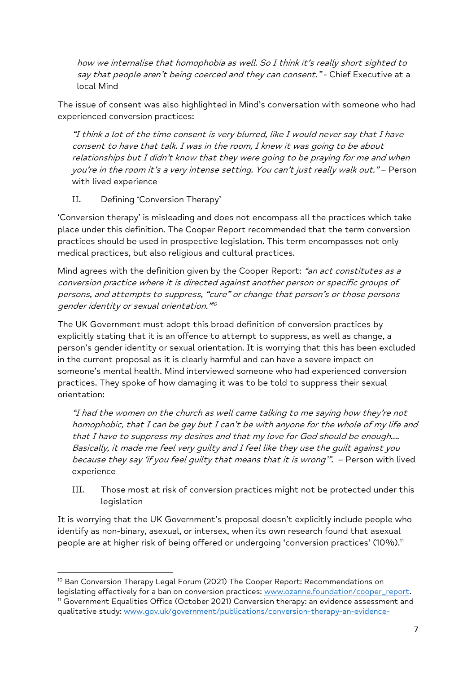how we internalise that homophobia as well. So I think it's really short sighted to say that people aren't being coerced and they can consent." - Chief Executive at a local Mind

The issue of consent was also highlighted in Mind's conversation with someone who had experienced conversion practices:

"I think a lot of the time consent is very blurred, like I would never say that I have consent to have that talk. I was in the room, I knew it was going to be about relationships but I didn't know that they were going to be praying for me and when you're in the room it's a very intense setting. You can't just really walk out." – Person with lived experience

# II. Defining 'Conversion Therapy'

'Conversion therapy' is misleading and does not encompass all the practices which take place under this definition. The Cooper Report recommended that the term conversion practices should be used in prospective legislation. This term encompasses not only medical practices, but also religious and cultural practices.

Mind agrees with the definition given by the Cooper Report: "an act constitutes as a conversion practice where it is directed against another person or specific groups of persons, and attempts to suppress, "cure" or change that person's or those persons gender identity or sexual orientation." 10

The UK Government must adopt this broad definition of conversion practices by explicitly stating that it is an offence to attempt to suppress, as well as change, a person's gender identity or sexual orientation. It is worrying that this has been excluded in the current proposal as it is clearly harmful and can have a severe impact on someone's mental health. Mind interviewed someone who had experienced conversion practices. They spoke of how damaging it was to be told to suppress their sexual orientation:

"I had the women on the church as well came talking to me saying how they're not homophobic, that I can be gay but I can't be with anyone for the whole of my life and that I have to suppress my desires and that my love for God should be enough…. Basically, it made me feel very guilty and I feel like they use the guilt against you because they say 'if you feel quilty that means that it is wrong".  $-$  Person with lived experience

III. Those most at risk of conversion practices might not be protected under this legislation

It is worrying that the UK Government's proposal doesn't explicitly include people who identify as non-binary, asexual, or intersex, when its own research found that asexual people are at higher risk of being offered or undergoing 'conversion practices' (10%).<sup>11</sup>

<sup>&</sup>lt;sup>10</sup> Ban Conversion Therapy Legal Forum (2021) The Cooper Report: Recommendations on legislating effectively for a ban on conversion practices: [www.ozanne.foundation/cooper\\_report.](http://www.ozanne.foundation/cooper_report)

<sup>&</sup>lt;sup>11</sup> Government Equalities Office (October 2021) Conversion therapy: an evidence assessment and qualitative study: [www.gov.uk/government/publications/conversion-therapy-an-evidence-](http://www.gov.uk/government/publications/conversion-therapy-an-evidence-assessment-and-qualitative-study/conversion-therapy-an-evidence-assessment-and-qualitative-study#who-undergoes-conversion-therapy-and-why)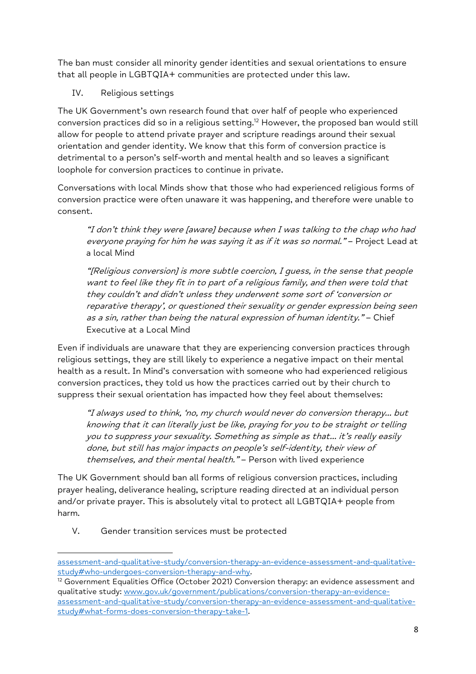The ban must consider all minority gender identities and sexual orientations to ensure that all people in LGBTQIA+ communities are protected under this law.

IV. Religious settings

The UK Government's own research found that over half of people who experienced conversion practices did so in a religious setting. <sup>12</sup> However, the proposed ban would still allow for people to attend private prayer and scripture readings around their sexual orientation and gender identity. We know that this form of conversion practice is detrimental to a person's self-worth and mental health and so leaves a significant loophole for conversion practices to continue in private.

Conversations with local Minds show that those who had experienced religious forms of conversion practice were often unaware it was happening, and therefore were unable to consent.

"I don't think they were [aware] because when I was talking to the chap who had everyone praying for him he was saying it as if it was so normal." - Project Lead at a local Mind

"[Religious conversion] is more subtle coercion, I guess, in the sense that people want to feel like they fit in to part of a religious family, and then were told that they couldn't and didn't unless they underwent some sort of 'conversion or reparative therapy', or questioned their sexuality or gender expression being seen as a sin, rather than being the natural expression of human identity." – Chief Executive at a Local Mind

Even if individuals are unaware that they are experiencing conversion practices through religious settings, they are still likely to experience a negative impact on their mental health as a result. In Mind's conversation with someone who had experienced religious conversion practices, they told us how the practices carried out by their church to suppress their sexual orientation has impacted how they feel about themselves:

"I always used to think, 'no, my church would never do conversion therapy… but knowing that it can literally just be like, praying for you to be straight or telling you to suppress your sexuality. Something as simple as that… it's really easily done, but still has major impacts on people's self-identity, their view of themselves, and their mental health." - Person with lived experience

The UK Government should ban all forms of religious conversion practices, including prayer healing, deliverance healing, scripture reading directed at an individual person and/or private prayer. This is absolutely vital to protect all LGBTQIA+ people from harm.

V. Gender transition services must be protected

[assessment-and-qualitative-study/conversion-therapy-an-evidence-assessment-and-qualitative](http://www.gov.uk/government/publications/conversion-therapy-an-evidence-assessment-and-qualitative-study/conversion-therapy-an-evidence-assessment-and-qualitative-study#who-undergoes-conversion-therapy-and-why)[study#who-undergoes-conversion-therapy-and-why.](http://www.gov.uk/government/publications/conversion-therapy-an-evidence-assessment-and-qualitative-study/conversion-therapy-an-evidence-assessment-and-qualitative-study#who-undergoes-conversion-therapy-and-why)

<sup>&</sup>lt;sup>12</sup> Government Equalities Office (October 2021) Conversion therapy: an evidence assessment and qualitative study: [www.gov.uk/government/publications/conversion-therapy-an-evidence](http://www.gov.uk/government/publications/conversion-therapy-an-evidence-assessment-and-qualitative-study/conversion-therapy-an-evidence-assessment-and-qualitative-study#what-forms-does-conversion-therapy-take-1)[assessment-and-qualitative-study/conversion-therapy-an-evidence-assessment-and-qualitative](http://www.gov.uk/government/publications/conversion-therapy-an-evidence-assessment-and-qualitative-study/conversion-therapy-an-evidence-assessment-and-qualitative-study#what-forms-does-conversion-therapy-take-1)[study#what-forms-does-conversion-therapy-take-1.](http://www.gov.uk/government/publications/conversion-therapy-an-evidence-assessment-and-qualitative-study/conversion-therapy-an-evidence-assessment-and-qualitative-study#what-forms-does-conversion-therapy-take-1)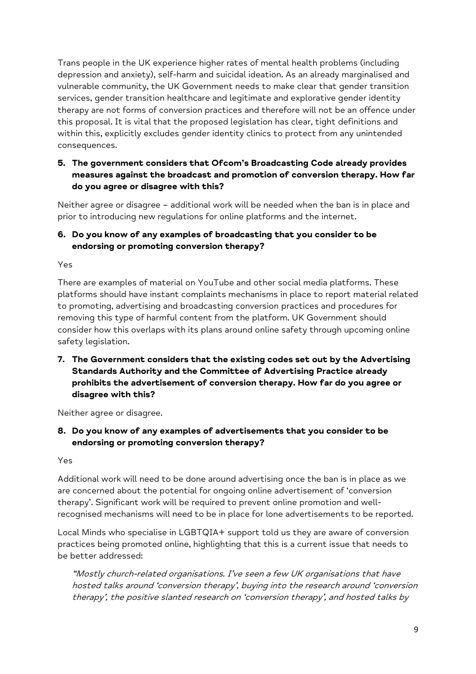Trans people in the UK experience higher rates of mental health problems (including depression and anxiety), self-harm and suicidal ideation. As an already marginalised and vulnerable community, the UK Government needs to make clear that gender transition services, gender transition healthcare and legitimate and explorative gender identity therapy are not forms of conversion practices and therefore will not be an offence under this proposal. It is vital that the proposed legislation has clear, tight definitions and within this, explicitly excludes gender identity clinics to protect from any unintended consequences.

# **5. The government considers that Ofcom's Broadcasting Code already provides measures against the broadcast and promotion of conversion therapy. How far do you agree or disagree with this?**

Neither agree or disagree – additional work will be needed when the ban is in place and prior to introducing new regulations for online platforms and the internet.

# **6. Do you know of any examples of broadcasting that you consider to be endorsing or promoting conversion therapy?**

Yes

There are examples of material on YouTube and other social media platforms. These platforms should have instant complaints mechanisms in place to report material related to promoting, advertising and broadcasting conversion practices and procedures for removing this type of harmful content from the platform. UK Government should consider how this overlaps with its plans around online safety through upcoming online safety legislation.

**7. The Government considers that the existing codes set out by the Advertising Standards Authority and the Committee of Advertising Practice already prohibits the advertisement of conversion therapy. How far do you agree or disagree with this?**

Neither agree or disagree.

**8. Do you know of any examples of advertisements that you consider to be endorsing or promoting conversion therapy?**

Yes

Additional work will need to be done around advertising once the ban is in place as we are concerned about the potential for ongoing online advertisement of 'conversion therapy'. Significant work will be required to prevent online promotion and wellrecognised mechanisms will need to be in place for lone advertisements to be reported.

Local Minds who specialise in LGBTQIA+ support told us they are aware of conversion practices being promoted online, highlighting that this is a current issue that needs to be better addressed:

"Mostly church-related organisations. I've seen a few UK organisations that have hosted talks around 'conversion therapy', buying into the research around 'conversion therapy', the positive slanted research on 'conversion therapy', and hosted talks by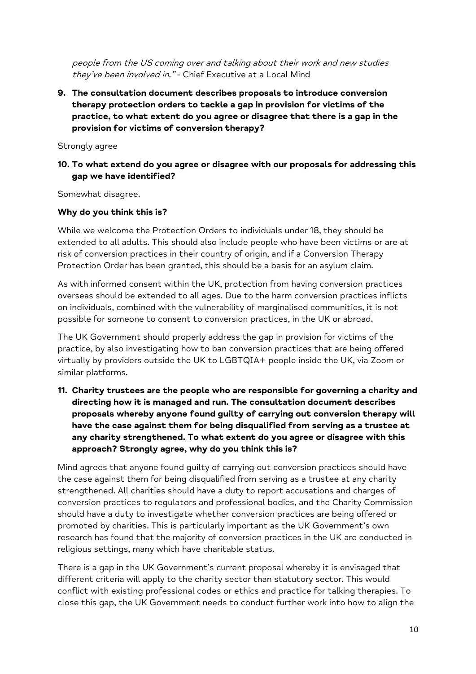people from the US coming over and talking about their work and new studies they've been involved in." - Chief Executive at a Local Mind

**9. The consultation document describes proposals to introduce conversion therapy protection orders to tackle a gap in provision for victims of the practice, to what extent do you agree or disagree that there is a gap in the provision for victims of conversion therapy?** 

Strongly agree

### **10. To what extend do you agree or disagree with our proposals for addressing this gap we have identified?**

Somewhat disagree.

#### **Why do you think this is?**

While we welcome the Protection Orders to individuals under 18, they should be extended to all adults. This should also include people who have been victims or are at risk of conversion practices in their country of origin, and if a Conversion Therapy Protection Order has been granted, this should be a basis for an asylum claim.

As with informed consent within the UK, protection from having conversion practices overseas should be extended to all ages. Due to the harm conversion practices inflicts on individuals, combined with the vulnerability of marginalised communities, it is not possible for someone to consent to conversion practices, in the UK or abroad.

The UK Government should properly address the gap in provision for victims of the practice, by also investigating how to ban conversion practices that are being offered virtually by providers outside the UK to LGBTQIA+ people inside the UK, via Zoom or similar platforms.

**11. Charity trustees are the people who are responsible for governing a charity and directing how it is managed and run. The consultation document describes proposals whereby anyone found guilty of carrying out conversion therapy will have the case against them for being disqualified from serving as a trustee at any charity strengthened. To what extent do you agree or disagree with this approach? Strongly agree, why do you think this is?**

Mind agrees that anyone found guilty of carrying out conversion practices should have the case against them for being disqualified from serving as a trustee at any charity strengthened. All charities should have a duty to report accusations and charges of conversion practices to regulators and professional bodies, and the Charity Commission should have a duty to investigate whether conversion practices are being offered or promoted by charities. This is particularly important as the UK Government's own research has found that the majority of conversion practices in the UK are conducted in religious settings, many which have charitable status.

There is a gap in the UK Government's current proposal whereby it is envisaged that different criteria will apply to the charity sector than statutory sector. This would conflict with existing professional codes or ethics and practice for talking therapies. To close this gap, the UK Government needs to conduct further work into how to align the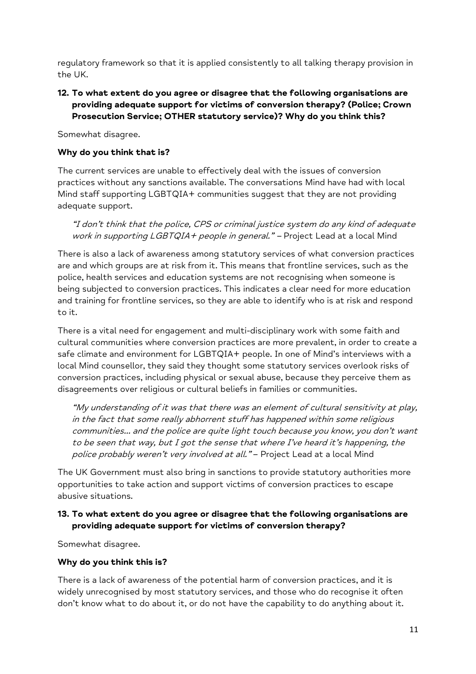regulatory framework so that it is applied consistently to all talking therapy provision in the UK.

## **12. To what extent do you agree or disagree that the following organisations are providing adequate support for victims of conversion therapy? (Police; Crown Prosecution Service; OTHER statutory service)? Why do you think this?**

Somewhat disagree.

### **Why do you think that is?**

The current services are unable to effectively deal with the issues of conversion practices without any sanctions available. The conversations Mind have had with local Mind staff supporting LGBTQIA+ communities suggest that they are not providing adequate support.

"I don't think that the police, CPS or criminal justice system do any kind of adequate work in supporting LGBTQIA+ people in general." - Project Lead at a local Mind

There is also a lack of awareness among statutory services of what conversion practices are and which groups are at risk from it. This means that frontline services, such as the police, health services and education systems are not recognising when someone is being subjected to conversion practices. This indicates a clear need for more education and training for frontline services, so they are able to identify who is at risk and respond to it.

There is a vital need for engagement and multi-disciplinary work with some faith and cultural communities where conversion practices are more prevalent, in order to create a safe climate and environment for LGBTQIA+ people. In one of Mind's interviews with a local Mind counsellor, they said they thought some statutory services overlook risks of conversion practices, including physical or sexual abuse, because they perceive them as disagreements over religious or cultural beliefs in families or communities.

"My understanding of it was that there was an element of cultural sensitivity at play, in the fact that some really abhorrent stuff has happened within some religious communities… and the police are quite light touch because you know, you don't want to be seen that way, but I got the sense that where I've heard it's happening, the police probably weren't very involved at all." - Project Lead at a local Mind

The UK Government must also bring in sanctions to provide statutory authorities more opportunities to take action and support victims of conversion practices to escape abusive situations.

## **13. To what extent do you agree or disagree that the following organisations are providing adequate support for victims of conversion therapy?**

Somewhat disagree.

#### **Why do you think this is?**

There is a lack of awareness of the potential harm of conversion practices, and it is widely unrecognised by most statutory services, and those who do recognise it often don't know what to do about it, or do not have the capability to do anything about it.